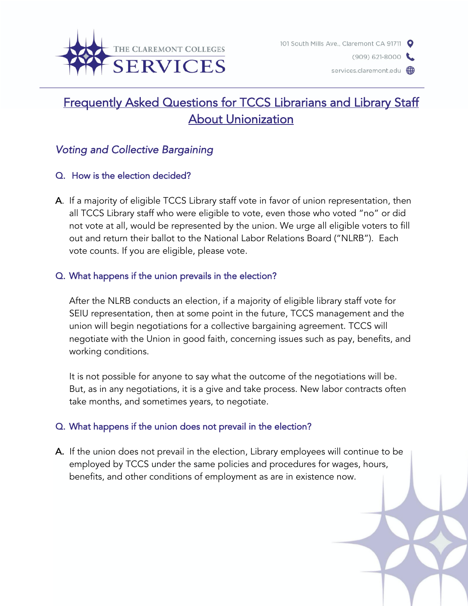

 $(909) 621 - 8000$ 

services.claremont.edu **@** 

# Frequently Asked Questions for TCCS Librarians and Library Staff About Unionization

# *Voting and Collective Bargaining*

### Q. How is the election decided?

A. If a majority of eligible TCCS Library staff vote in favor of union representation, then all TCCS Library staff who were eligible to vote, even those who voted "no" or did not vote at all, would be represented by the union. We urge all eligible voters to fill out and return their ballot to the National Labor Relations Board ("NLRB"). Each vote counts. If you are eligible, please vote.

### Q. What happens if the union prevails in the election?

After the NLRB conducts an election, if a majority of eligible library staff vote for SEIU representation, then at some point in the future, TCCS management and the union will begin negotiations for a collective bargaining agreement. TCCS will negotiate with the Union in good faith, concerning issues such as pay, benefits, and working conditions.

It is not possible for anyone to say what the outcome of the negotiations will be. But, as in any negotiations, it is a give and take process. New labor contracts often take months, and sometimes years, to negotiate.

# Q. What happens if the union does not prevail in the election?

A. If the union does not prevail in the election, Library employees will continue to be employed by TCCS under the same policies and procedures for wages, hours, benefits, and other conditions of employment as are in existence now.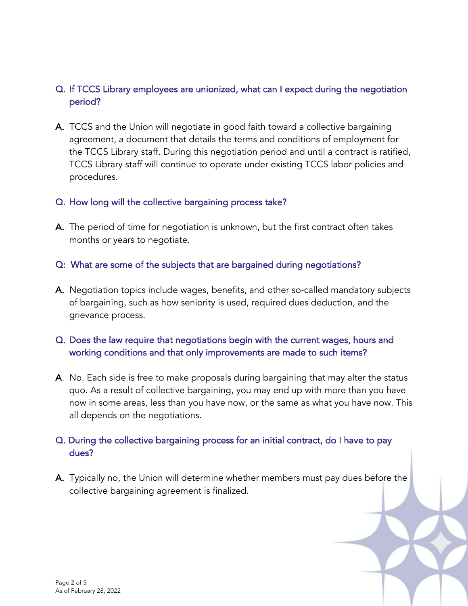# Q. If TCCS Library employees are unionized, what can I expect during the negotiation period?

A. TCCS and the Union will negotiate in good faith toward a collective bargaining agreement, a document that details the terms and conditions of employment for the TCCS Library staff. During this negotiation period and until a contract is ratified, TCCS Library staff will continue to operate under existing TCCS labor policies and procedures.

#### Q. How long will the collective bargaining process take?

A. The period of time for negotiation is unknown, but the first contract often takes months or years to negotiate.

### Q: What are some of the subjects that are bargained during negotiations?

A. Negotiation topics include wages, benefits, and other so-called mandatory subjects of bargaining, such as how seniority is used, required dues deduction, and the grievance process.

### Q. Does the law require that negotiations begin with the current wages, hours and working conditions and that only improvements are made to such items?

A. No. Each side is free to make proposals during bargaining that may alter the status quo. As a result of collective bargaining, you may end up with more than you have now in some areas, less than you have now, or the same as what you have now. This all depends on the negotiations.

# Q. During the collective bargaining process for an initial contract, do I have to pay dues?

A. Typically no, the Union will determine whether members must pay dues before the collective bargaining agreement is finalized.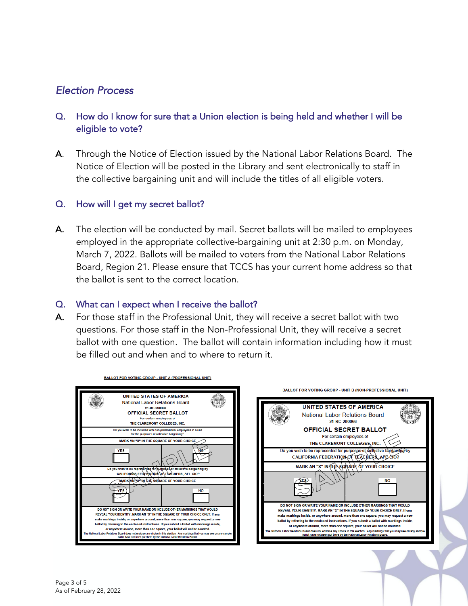# *Election Process*

## Q. How do I know for sure that a Union election is being held and whether I will be eligible to vote?

A. Through the Notice of Election issued by the National Labor Relations Board. The Notice of Election will be posted in the Library and sent electronically to staff in the collective bargaining unit and will include the titles of all eligible voters.

#### Q. How will I get my secret ballot?

A. The election will be conducted by mail. Secret ballots will be mailed to employees employed in the appropriate collective-bargaining unit at 2:30 p.m. on Monday, March 7, 2022. Ballots will be mailed to voters from the National Labor Relations Board, Region 21. Please ensure that TCCS has your current home address so that the ballot is sent to the correct location.

#### Q. What can I expect when I receive the ballot?

A. For those staff in the Professional Unit, they will receive a secret ballot with two questions. For those staff in the Non-Professional Unit, they will receive a secret ballot with one question. The ballot will contain information including how it must be filled out and when and to where to return it.



**BALLOT FOR VOTING GROUP - UNIT A (PROFESSIONAL UNIT)** 

**UNITED STATES OF AMERICA National Labor Relations Board** 21-RC-290066 **OFFICIAL SECRET BALLOT** For certain employees of THE CLAREMONT COLLEGES, INC. Do you wish to be represented for purposes of collective bargaining CALIFORNIA FEDERATION OF TEACHERS, AFOCIO? MARK AN "X" IN THE SOLIARE OF YOUR CHOICE **NO** DO NOT SIGN OR WRITE YOUR NAME OR INCLUDE OTHER MARKINGS THAT WOULD REVEAL YOUR IDENTITY. MARK AN "X" IN THE SQUARE OF YOUR CHOICE ONLY. If you make markings inside, or anywhere around, more than one square, you may request a new ballot by referring to the enclosed instructions. If you submit a ballot with ma or anywhere around, more than one square, your ballot will not be counted. .<br>Ind does not endorse any choice in this election. Any markings that you may s<br>ot have not been put there by the National Labor Relations Board.

**BALLOT FOR VOTING GROUP - UNIT B (NON-PROFESSIONAL UNIT)**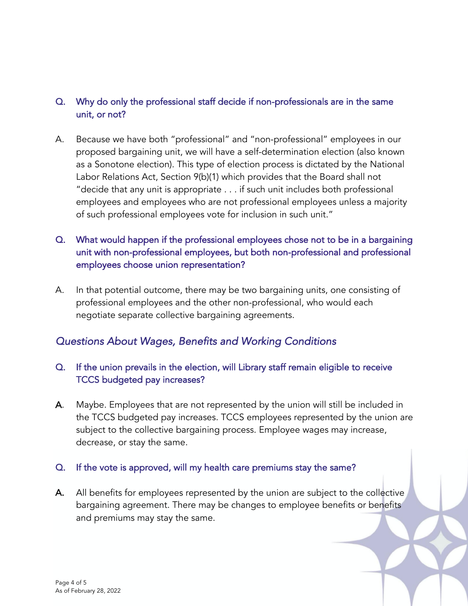# Q. Why do only the professional staff decide if non-professionals are in the same unit, or not?

- A. Because we have both "professional" and "non-professional" employees in our proposed bargaining unit, we will have a self-determination election (also known as a Sonotone election). This type of election process is dictated by the National Labor Relations Act, Section 9(b)(1) which provides that the Board shall not "decide that any unit is appropriate . . . if such unit includes both professional employees and employees who are not professional employees unless a majority of such professional employees vote for inclusion in such unit."
- Q. What would happen if the professional employees chose not to be in a bargaining unit with non-professional employees, but both non-professional and professional employees choose union representation?
- A. In that potential outcome, there may be two bargaining units, one consisting of professional employees and the other non-professional, who would each negotiate separate collective bargaining agreements.

# *Questions About Wages, Benefits and Working Conditions*

# Q. If the union prevails in the election, will Library staff remain eligible to receive TCCS budgeted pay increases?

A. Maybe. Employees that are not represented by the union will still be included in the TCCS budgeted pay increases. TCCS employees represented by the union are subject to the collective bargaining process. Employee wages may increase, decrease, or stay the same.

### Q. If the vote is approved, will my health care premiums stay the same?

A. All benefits for employees represented by the union are subject to the collective bargaining agreement. There may be changes to employee benefits or benefits and premiums may stay the same.